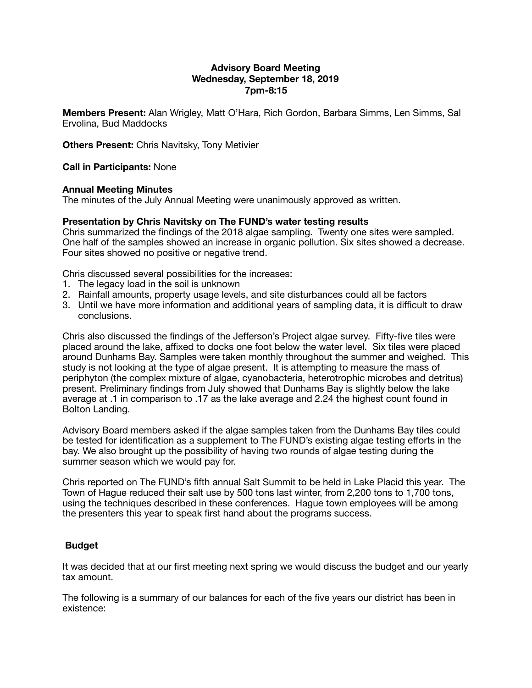# **Advisory Board Meeting Wednesday, September 18, 2019 7pm-8:15**

**Members Present:** Alan Wrigley, Matt O'Hara, Rich Gordon, Barbara Simms, Len Simms, Sal Ervolina, Bud Maddocks

**Others Present:** Chris Navitsky, Tony Metivier

### **Call in Participants:** None

#### **Annual Meeting Minutes**

The minutes of the July Annual Meeting were unanimously approved as written.

#### **Presentation by Chris Navitsky on The FUND's water testing results**

Chris summarized the findings of the 2018 algae sampling. Twenty one sites were sampled. One half of the samples showed an increase in organic pollution. Six sites showed a decrease. Four sites showed no positive or negative trend.

Chris discussed several possibilities for the increases:

- 1. The legacy load in the soil is unknown
- 2. Rainfall amounts, property usage levels, and site disturbances could all be factors
- 3. Until we have more information and additional years of sampling data, it is difficult to draw conclusions.

Chris also discussed the findings of the Jefferson's Project algae survey. Fifty-five tiles were placed around the lake, affixed to docks one foot below the water level. Six tiles were placed around Dunhams Bay. Samples were taken monthly throughout the summer and weighed. This study is not looking at the type of algae present. It is attempting to measure the mass of periphyton (the complex mixture of algae, cyanobacteria, heterotrophic microbes and detritus) present. Preliminary findings from July showed that Dunhams Bay is slightly below the lake average at .1 in comparison to .17 as the lake average and 2.24 the highest count found in Bolton Landing.

Advisory Board members asked if the algae samples taken from the Dunhams Bay tiles could be tested for identification as a supplement to The FUND's existing algae testing efforts in the bay. We also brought up the possibility of having two rounds of algae testing during the summer season which we would pay for.

Chris reported on The FUND's fifth annual Salt Summit to be held in Lake Placid this year. The Town of Hague reduced their salt use by 500 tons last winter, from 2,200 tons to 1,700 tons, using the techniques described in these conferences. Hague town employees will be among the presenters this year to speak first hand about the programs success.

#### **Budget**

It was decided that at our first meeting next spring we would discuss the budget and our yearly tax amount.

The following is a summary of our balances for each of the five years our district has been in existence: